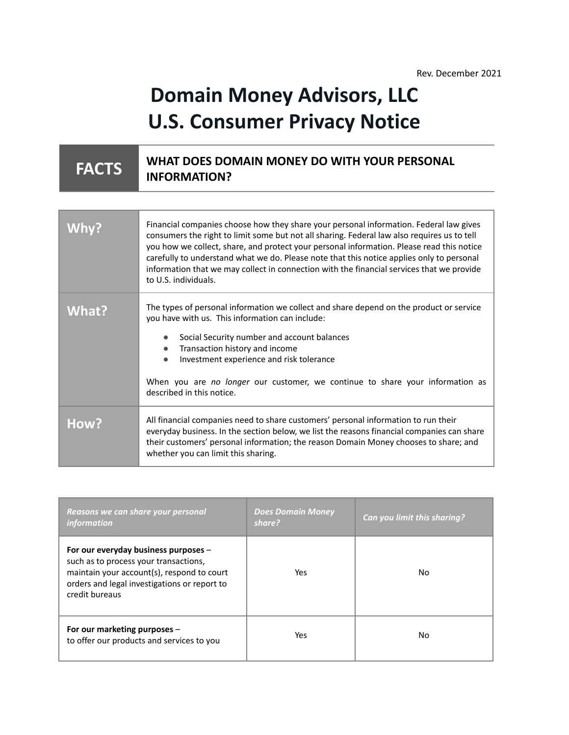## **Domain Money Advisors, LLC U.S. Consumer Privacy Notice**

## **FACTS WHAT DOES DOMAIN MONEY DO WITH YOUR PERSONAL INFORMATION?**

|              | Financial companies choose how they share your personal information. Federal law gives<br>consumers the right to limit some but not all sharing. Federal law also requires us to tell<br>you how we collect, share, and protect your personal information. Please read this notice<br>carefully to understand what we do. Please note that this notice applies only to personal<br>information that we may collect in connection with the financial services that we provide<br>to U.S. individuals. |
|--------------|------------------------------------------------------------------------------------------------------------------------------------------------------------------------------------------------------------------------------------------------------------------------------------------------------------------------------------------------------------------------------------------------------------------------------------------------------------------------------------------------------|
| <b>What?</b> | The types of personal information we collect and share depend on the product or service<br>you have with us. This information can include:<br>Social Security number and account balances<br>Transaction history and income<br>$\bullet$<br>Investment experience and risk tolerance<br>When you are no longer our customer, we continue to share your information as<br>described in this notice.                                                                                                   |
| How?         | All financial companies need to share customers' personal information to run their<br>everyday business. In the section below, we list the reasons financial companies can share<br>their customers' personal information; the reason Domain Money chooses to share; and<br>whether you can limit this sharing.                                                                                                                                                                                      |

| Reasons we can share your personal<br><i>information</i>                                                                                                                                      | <b>Does Domain Money</b><br>share? | Can you limit this sharing? |
|-----------------------------------------------------------------------------------------------------------------------------------------------------------------------------------------------|------------------------------------|-----------------------------|
| For our everyday business purposes -<br>such as to process your transactions,<br>maintain your account(s), respond to court<br>orders and legal investigations or report to<br>credit bureaus | Yes.                               | No                          |
| For our marketing purposes -<br>to offer our products and services to you                                                                                                                     | Yes.                               | No                          |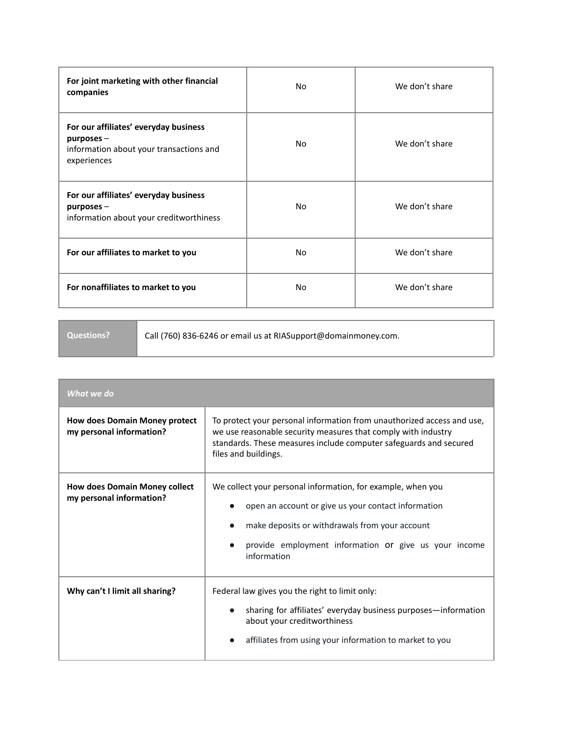| For joint marketing with other financial<br>companies                                                              | No  | We don't share |
|--------------------------------------------------------------------------------------------------------------------|-----|----------------|
| For our affiliates' everyday business<br>$p$ urposes $-$<br>information about your transactions and<br>experiences | No. | We don't share |
| For our affiliates' everyday business<br>$p$ urposes $-$<br>information about your creditworthiness                | No. | We don't share |
| For our affiliates to market to you                                                                                | No. | We don't share |
| For nonaffiliates to market to you                                                                                 | No. | We don't share |

**Questions?** Call (760) 836-6246 or email us at RIASupport@domainmoney.com.

| What we do                                                       |                                                                                                                                                                                                                                              |  |
|------------------------------------------------------------------|----------------------------------------------------------------------------------------------------------------------------------------------------------------------------------------------------------------------------------------------|--|
| <b>How does Domain Money protect</b><br>my personal information? | To protect your personal information from unauthorized access and use,<br>we use reasonable security measures that comply with industry<br>standards. These measures include computer safeguards and secured<br>files and buildings.         |  |
| <b>How does Domain Money collect</b><br>my personal information? | We collect your personal information, for example, when you<br>open an account or give us your contact information<br>make deposits or withdrawals from your account<br>provide employment information or give us your income<br>information |  |
| Why can't I limit all sharing?                                   | Federal law gives you the right to limit only:<br>sharing for affiliates' everyday business purposes—information<br>about your creditworthiness<br>affiliates from using your information to market to you                                   |  |